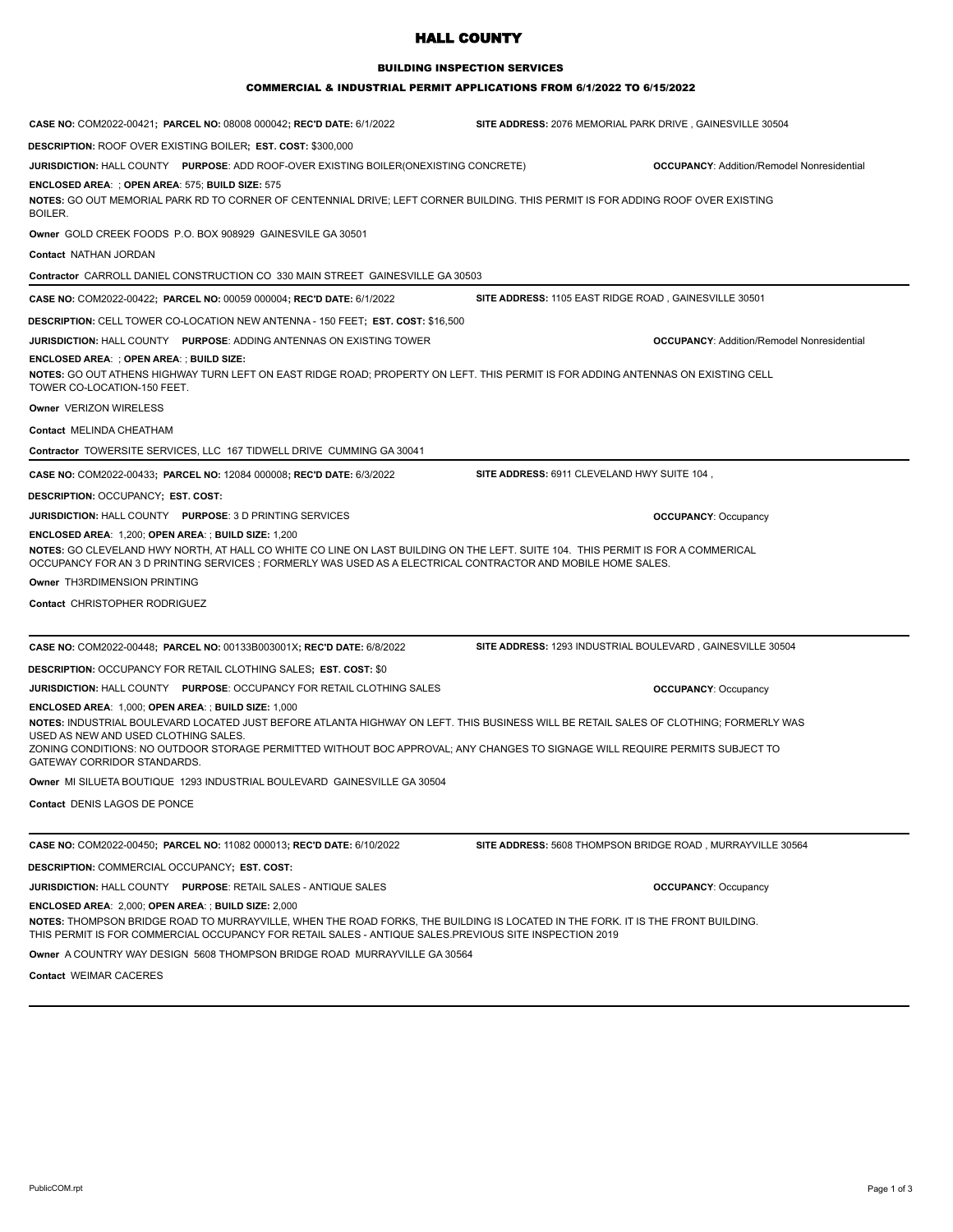## HALL COUNTY

#### BUILDING INSPECTION SERVICES

## COMMERCIAL & INDUSTRIAL PERMIT APPLICATIONS FROM 6/1/2022 TO 6/15/2022

| CASE NO: COM2022-00421; PARCEL NO: 08008 000042; REC'D DATE: 6/1/2022                                                                                                                                                                                                                                                                                                                                | SITE ADDRESS: 2076 MEMORIAL PARK DRIVE, GAINESVILLE 30504  |  |
|------------------------------------------------------------------------------------------------------------------------------------------------------------------------------------------------------------------------------------------------------------------------------------------------------------------------------------------------------------------------------------------------------|------------------------------------------------------------|--|
| <b>DESCRIPTION: ROOF OVER EXISTING BOILER; EST. COST: \$300,000</b>                                                                                                                                                                                                                                                                                                                                  |                                                            |  |
| <b>JURISDICTION: HALL COUNTY PURPOSE: ADD ROOF-OVER EXISTING BOILER(ONEXISTING CONCRETE)</b>                                                                                                                                                                                                                                                                                                         | <b>OCCUPANCY: Addition/Remodel Nonresidential</b>          |  |
| <b>ENCLOSED AREA: ; OPEN AREA: 575; BUILD SIZE: 575</b><br>NOTES: GO OUT MEMORIAL PARK RD TO CORNER OF CENTENNIAL DRIVE; LEFT CORNER BUILDING. THIS PERMIT IS FOR ADDING ROOF OVER EXISTING<br>BOILER.                                                                                                                                                                                               |                                                            |  |
| Owner GOLD CREEK FOODS P.O. BOX 908929 GAINESVILE GA 30501                                                                                                                                                                                                                                                                                                                                           |                                                            |  |
| Contact NATHAN JORDAN                                                                                                                                                                                                                                                                                                                                                                                |                                                            |  |
| Contractor CARROLL DANIEL CONSTRUCTION CO 330 MAIN STREET GAINESVILLE GA 30503                                                                                                                                                                                                                                                                                                                       |                                                            |  |
| CASE NO: COM2022-00422; PARCEL NO: 00059 000004; REC'D DATE: 6/1/2022                                                                                                                                                                                                                                                                                                                                | SITE ADDRESS: 1105 EAST RIDGE ROAD, GAINESVILLE 30501      |  |
| <b>DESCRIPTION:</b> CELL TOWER CO-LOCATION NEW ANTENNA - 150 FEET; EST. COST: \$16,500                                                                                                                                                                                                                                                                                                               |                                                            |  |
| JURISDICTION: HALL COUNTY PURPOSE: ADDING ANTENNAS ON EXISTING TOWER                                                                                                                                                                                                                                                                                                                                 | <b>OCCUPANCY: Addition/Remodel Nonresidential</b>          |  |
| ENCLOSED AREA: ; OPEN AREA: ; BUILD SIZE:                                                                                                                                                                                                                                                                                                                                                            |                                                            |  |
| NOTES: GO OUT ATHENS HIGHWAY TURN LEFT ON EAST RIDGE ROAD; PROPERTY ON LEFT. THIS PERMIT IS FOR ADDING ANTENNAS ON EXISTING CELL<br>TOWER CO-LOCATION-150 FEET.                                                                                                                                                                                                                                      |                                                            |  |
| Owner VERIZON WIRELESS                                                                                                                                                                                                                                                                                                                                                                               |                                                            |  |
| <b>Contact MELINDA CHEATHAM</b>                                                                                                                                                                                                                                                                                                                                                                      |                                                            |  |
| Contractor TOWERSITE SERVICES, LLC 167 TIDWELL DRIVE CUMMING GA 30041                                                                                                                                                                                                                                                                                                                                |                                                            |  |
| CASE NO: COM2022-00433; PARCEL NO: 12084 000008; REC'D DATE: 6/3/2022                                                                                                                                                                                                                                                                                                                                | SITE ADDRESS: 6911 CLEVELAND HWY SUITE 104,                |  |
| DESCRIPTION: OCCUPANCY; EST. COST:                                                                                                                                                                                                                                                                                                                                                                   |                                                            |  |
| <b>JURISDICTION: HALL COUNTY PURPOSE: 3 D PRINTING SERVICES</b>                                                                                                                                                                                                                                                                                                                                      | <b>OCCUPANCY: Occupancy</b>                                |  |
| ENCLOSED AREA: 1,200; OPEN AREA: ; BUILD SIZE: 1,200                                                                                                                                                                                                                                                                                                                                                 |                                                            |  |
| NOTES: GO CLEVELAND HWY NORTH, AT HALL CO WHITE CO LINE ON LAST BUILDING ON THE LEFT. SUITE 104. THIS PERMIT IS FOR A COMMERICAL<br>OCCUPANCY FOR AN 3 D PRINTING SERVICES ; FORMERLY WAS USED AS A ELECTRICAL CONTRACTOR AND MOBILE HOME SALES.                                                                                                                                                     |                                                            |  |
| Owner TH3RDIMENSION PRINTING                                                                                                                                                                                                                                                                                                                                                                         |                                                            |  |
| Contact CHRISTOPHER RODRIGUEZ                                                                                                                                                                                                                                                                                                                                                                        |                                                            |  |
| CASE NO: COM2022-00448; PARCEL NO: 00133B003001X; REC'D DATE: 6/8/2022                                                                                                                                                                                                                                                                                                                               | SITE ADDRESS: 1293 INDUSTRIAL BOULEVARD, GAINESVILLE 30504 |  |
| <b>DESCRIPTION: OCCUPANCY FOR RETAIL CLOTHING SALES; EST. COST: \$0</b>                                                                                                                                                                                                                                                                                                                              |                                                            |  |
| <b>JURISDICTION: HALL COUNTY PURPOSE: OCCUPANCY FOR RETAIL CLOTHING SALES</b>                                                                                                                                                                                                                                                                                                                        | <b>OCCUPANCY: Occupancy</b>                                |  |
| ENCLOSED AREA: 1,000; OPEN AREA: ; BUILD SIZE: 1,000<br>NOTES: INDUSTRIAL BOULEVARD LOCATED JUST BEFORE ATLANTA HIGHWAY ON LEFT. THIS BUSINESS WILL BE RETAIL SALES OF CLOTHING; FORMERLY WAS<br>USED AS NEW AND USED CLOTHING SALES.<br>ZONING CONDITIONS: NO OUTDOOR STORAGE PERMITTED WITHOUT BOC APPROVAL; ANY CHANGES TO SIGNAGE WILL REQUIRE PERMITS SUBJECT TO<br>GATEWAY CORRIDOR STANDARDS. |                                                            |  |
| Owner MI SILUETA BOUTIQUE 1293 INDUSTRIAL BOULEVARD GAINESVILLE GA 30504                                                                                                                                                                                                                                                                                                                             |                                                            |  |
| Contact DENIS LAGOS DE PONCE                                                                                                                                                                                                                                                                                                                                                                         |                                                            |  |
| CASE NO: COM2022-00450; PARCEL NO: 11082 000013; REC'D DATE: 6/10/2022                                                                                                                                                                                                                                                                                                                               | SITE ADDRESS: 5608 THOMPSON BRIDGE ROAD, MURRAYVILLE 30564 |  |
| DESCRIPTION: COMMERCIAL OCCUPANCY; EST. COST:                                                                                                                                                                                                                                                                                                                                                        |                                                            |  |
| <b>JURISDICTION: HALL COUNTY PURPOSE: RETAIL SALES - ANTIQUE SALES</b>                                                                                                                                                                                                                                                                                                                               | <b>OCCUPANCY: Occupancy</b>                                |  |
| ENCLOSED AREA: 2,000; OPEN AREA: ; BUILD SIZE: 2,000                                                                                                                                                                                                                                                                                                                                                 |                                                            |  |
| NOTES: THOMPSON BRIDGE ROAD TO MURRAYVILLE, WHEN THE ROAD FORKS, THE BUILDING IS LOCATED IN THE FORK. IT IS THE FRONT BUILDING.<br>THIS PERMIT IS FOR COMMERCIAL OCCUPANCY FOR RETAIL SALES - ANTIQUE SALES.PREVIOUS SITE INSPECTION 2019                                                                                                                                                            |                                                            |  |
| Owner A COUNTRY WAY DESIGN 5608 THOMPSON BRIDGE ROAD MURRAYVILLE GA 30564                                                                                                                                                                                                                                                                                                                            |                                                            |  |

**Contact** WEIMAR CACERES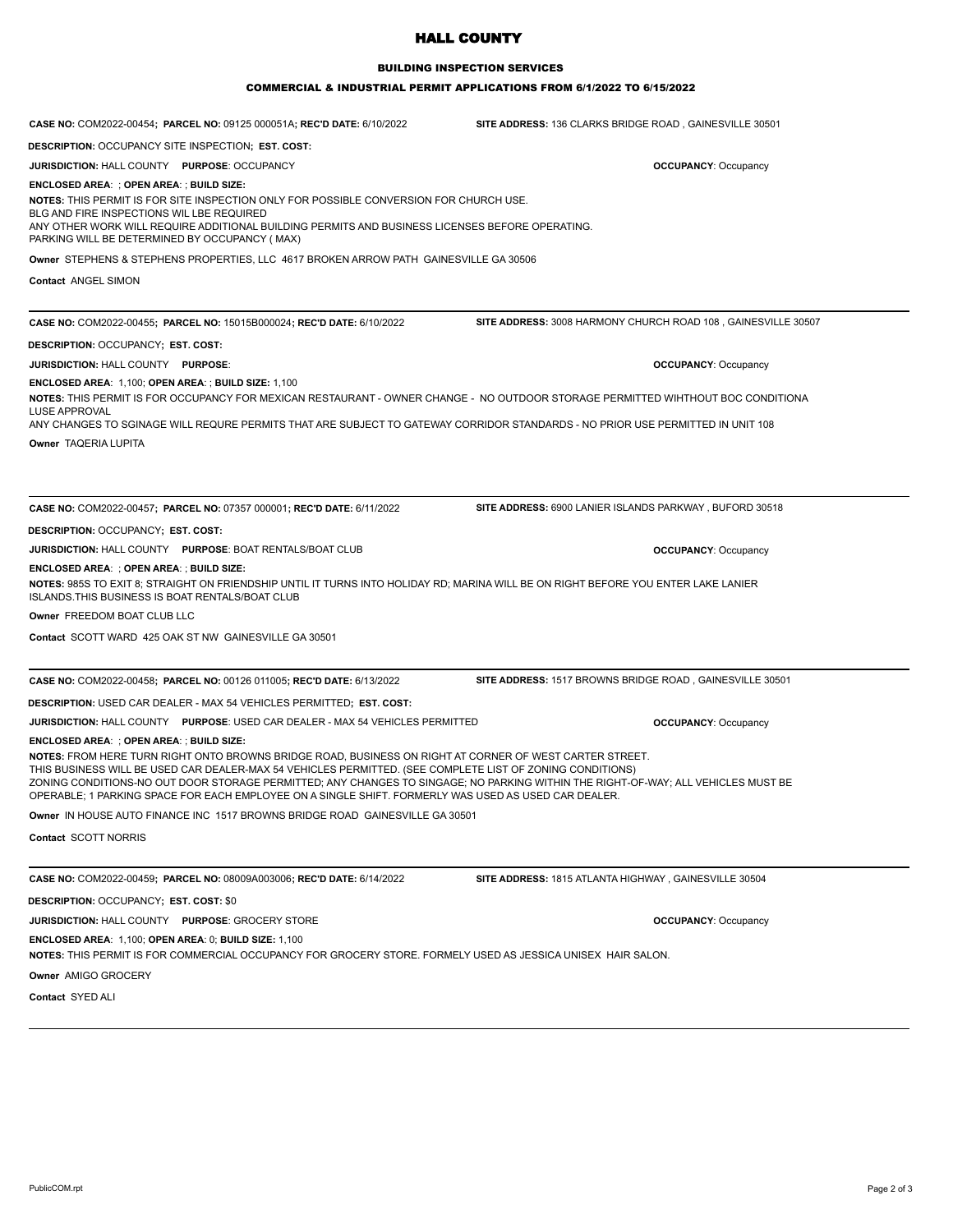# HALL COUNTY

#### BUILDING INSPECTION SERVICES

## COMMERCIAL & INDUSTRIAL PERMIT APPLICATIONS FROM 6/1/2022 TO 6/15/2022

| CASE NO: COM2022-00454; PARCEL NO: 09125 000051A; REC'D DATE: 6/10/2022                                                                                                                                                                                                                                                                                                                                                                                                                                        | <b>SITE ADDRESS: 136 CLARKS BRIDGE ROAD, GAINESVILLE 30501</b> |
|----------------------------------------------------------------------------------------------------------------------------------------------------------------------------------------------------------------------------------------------------------------------------------------------------------------------------------------------------------------------------------------------------------------------------------------------------------------------------------------------------------------|----------------------------------------------------------------|
| DESCRIPTION: OCCUPANCY SITE INSPECTION; EST. COST:                                                                                                                                                                                                                                                                                                                                                                                                                                                             |                                                                |
| <b>JURISDICTION: HALL COUNTY PURPOSE: OCCUPANCY</b>                                                                                                                                                                                                                                                                                                                                                                                                                                                            | <b>OCCUPANCY: Occupancy</b>                                    |
| ENCLOSED AREA: ; OPEN AREA: ; BUILD SIZE:                                                                                                                                                                                                                                                                                                                                                                                                                                                                      |                                                                |
| NOTES: THIS PERMIT IS FOR SITE INSPECTION ONLY FOR POSSIBLE CONVERSION FOR CHURCH USE.<br>BLG AND FIRE INSPECTIONS WIL LBE REQUIRED<br>ANY OTHER WORK WILL REQUIRE ADDITIONAL BUILDING PERMITS AND BUSINESS LICENSES BEFORE OPERATING.<br>PARKING WILL BE DETERMINED BY OCCUPANCY (MAX)                                                                                                                                                                                                                        |                                                                |
| Owner STEPHENS & STEPHENS PROPERTIES, LLC 4617 BROKEN ARROW PATH GAINESVILLE GA 30506                                                                                                                                                                                                                                                                                                                                                                                                                          |                                                                |
| <b>Contact ANGEL SIMON</b>                                                                                                                                                                                                                                                                                                                                                                                                                                                                                     |                                                                |
| CASE NO: COM2022-00455; PARCEL NO: 15015B000024; REC'D DATE: 6/10/2022                                                                                                                                                                                                                                                                                                                                                                                                                                         | SITE ADDRESS: 3008 HARMONY CHURCH ROAD 108, GAINESVILLE 30507  |
| DESCRIPTION: OCCUPANCY; EST. COST:                                                                                                                                                                                                                                                                                                                                                                                                                                                                             |                                                                |
| <b>JURISDICTION: HALL COUNTY PURPOSE:</b>                                                                                                                                                                                                                                                                                                                                                                                                                                                                      | <b>OCCUPANCY: Occupancy</b>                                    |
| ENCLOSED AREA: 1,100; OPEN AREA: ; BUILD SIZE: 1,100<br>NOTES: THIS PERMIT IS FOR OCCUPANCY FOR MEXICAN RESTAURANT - OWNER CHANGE - NO OUTDOOR STORAGE PERMITTED WIHTHOUT BOC CONDITIONA<br><b>LUSE APPROVAL</b><br>ANY CHANGES TO SGINAGE WILL REQURE PERMITS THAT ARE SUBJECT TO GATEWAY CORRIDOR STANDARDS - NO PRIOR USE PERMITTED IN UNIT 108                                                                                                                                                             |                                                                |
| Owner TAQERIA LUPITA                                                                                                                                                                                                                                                                                                                                                                                                                                                                                           |                                                                |
| CASE NO: COM2022-00457; PARCEL NO: 07357 000001; REC'D DATE: 6/11/2022                                                                                                                                                                                                                                                                                                                                                                                                                                         | SITE ADDRESS: 6900 LANIER ISLANDS PARKWAY, BUFORD 30518        |
| DESCRIPTION: OCCUPANCY; EST. COST:                                                                                                                                                                                                                                                                                                                                                                                                                                                                             |                                                                |
| JURISDICTION: HALL COUNTY PURPOSE: BOAT RENTALS/BOAT CLUB                                                                                                                                                                                                                                                                                                                                                                                                                                                      | <b>OCCUPANCY: Occupancy</b>                                    |
| ENCLOSED AREA: ; OPEN AREA: ; BUILD SIZE:<br>NOTES: 985S TO EXIT 8; STRAIGHT ON FRIENDSHIP UNTIL IT TURNS INTO HOLIDAY RD; MARINA WILL BE ON RIGHT BEFORE YOU ENTER LAKE LANIER<br>ISLANDS. THIS BUSINESS IS BOAT RENTALS/BOAT CLUB                                                                                                                                                                                                                                                                            |                                                                |
| Owner FREEDOM BOAT CLUB LLC                                                                                                                                                                                                                                                                                                                                                                                                                                                                                    |                                                                |
| Contact SCOTT WARD 425 OAK ST NW GAINESVILLE GA 30501                                                                                                                                                                                                                                                                                                                                                                                                                                                          |                                                                |
| CASE NO: COM2022-00458; PARCEL NO: 00126 011005; REC'D DATE: 6/13/2022                                                                                                                                                                                                                                                                                                                                                                                                                                         | SITE ADDRESS: 1517 BROWNS BRIDGE ROAD, GAINESVILLE 30501       |
| DESCRIPTION: USED CAR DEALER - MAX 54 VEHICLES PERMITTED; EST. COST:                                                                                                                                                                                                                                                                                                                                                                                                                                           |                                                                |
| JURISDICTION: HALL COUNTY PURPOSE: USED CAR DEALER - MAX 54 VEHICLES PERMITTED                                                                                                                                                                                                                                                                                                                                                                                                                                 | <b>OCCUPANCY: Occupancy</b>                                    |
| ENCLOSED AREA: ; OPEN AREA: ; BUILD SIZE:<br>NOTES: FROM HERE TURN RIGHT ONTO BROWNS BRIDGE ROAD, BUSINESS ON RIGHT AT CORNER OF WEST CARTER STREET.<br>THIS BUSINESS WILL BE USED CAR DEALER-MAX 54 VEHICLES PERMITTED. (SEE COMPLETE LIST OF ZONING CONDITIONS)<br>ZONING CONDITIONS-NO OUT DOOR STORAGE PERMITTED; ANY CHANGES TO SINGAGE; NO PARKING WITHIN THE RIGHT-OF-WAY; ALL VEHICLES MUST BE<br>OPERABLE; 1 PARKING SPACE FOR EACH EMPLOYEE ON A SINGLE SHIFT. FORMERLY WAS USED AS USED CAR DEALER. |                                                                |
| Owner IN HOUSE AUTO FINANCE INC 1517 BROWNS BRIDGE ROAD GAINESVILLE GA 30501                                                                                                                                                                                                                                                                                                                                                                                                                                   |                                                                |
| <b>Contact SCOTT NORRIS</b>                                                                                                                                                                                                                                                                                                                                                                                                                                                                                    |                                                                |
| CASE NO: COM2022-00459; PARCEL NO: 08009A003006; REC'D DATE: 6/14/2022                                                                                                                                                                                                                                                                                                                                                                                                                                         | SITE ADDRESS: 1815 ATLANTA HIGHWAY, GAINESVILLE 30504          |
| DESCRIPTION: OCCUPANCY; EST. COST: \$0                                                                                                                                                                                                                                                                                                                                                                                                                                                                         |                                                                |
| <b>JURISDICTION: HALL COUNTY PURPOSE: GROCERY STORE</b>                                                                                                                                                                                                                                                                                                                                                                                                                                                        | <b>OCCUPANCY: Occupancy</b>                                    |
| ENCLOSED AREA: 1,100; OPEN AREA: 0; BUILD SIZE: 1,100<br>NOTES: THIS PERMIT IS FOR COMMERCIAL OCCUPANCY FOR GROCERY STORE. FORMELY USED AS JESSICA UNISEX HAIR SALON.                                                                                                                                                                                                                                                                                                                                          |                                                                |
| Owner AMIGO GROCERY                                                                                                                                                                                                                                                                                                                                                                                                                                                                                            |                                                                |
| Contact CVED ALL                                                                                                                                                                                                                                                                                                                                                                                                                                                                                               |                                                                |